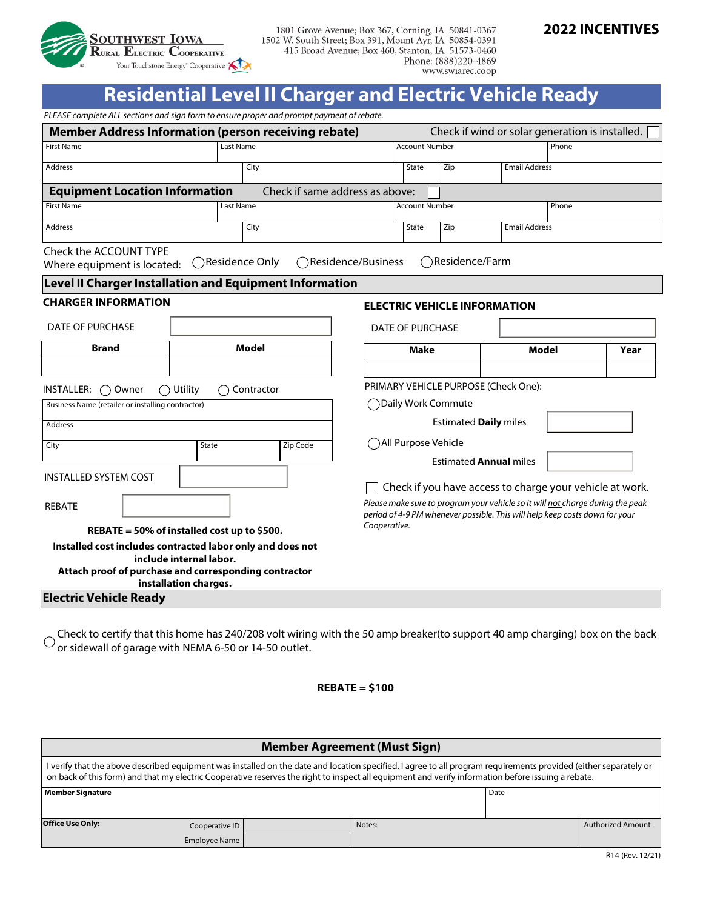

1801 Grove Avenue; Box 367, Corning, IA 50841-0367 1502 W. South Street; Box 391, Mount Ayr, IA 50854-0391 415 Broad Avenue; Box 460, Stanton, IA 51573-0460 Phone: (888)220-4869 www.swiarec.coop

# **2022 INCENTIVES**

# **Residential Level II Charger and Electric Vehicle Ready**

*PLEASE complete ALL sections and sign form to ensure proper and prompt payment of rebate.* 

|                                                                                                                                                                                                                    | <b>Member Address Information (person receiving rebate)</b>                                                                                                             |                                                                                                                                                                                                                                                                                                                                                                                                   |                         |                           | Check if wind or solar generation is installed. |                      |  |  |  |  |  |
|--------------------------------------------------------------------------------------------------------------------------------------------------------------------------------------------------------------------|-------------------------------------------------------------------------------------------------------------------------------------------------------------------------|---------------------------------------------------------------------------------------------------------------------------------------------------------------------------------------------------------------------------------------------------------------------------------------------------------------------------------------------------------------------------------------------------|-------------------------|---------------------------|-------------------------------------------------|----------------------|--|--|--|--|--|
| <b>First Name</b>                                                                                                                                                                                                  | Last Name                                                                                                                                                               |                                                                                                                                                                                                                                                                                                                                                                                                   | <b>Account Number</b>   |                           |                                                 | Phone                |  |  |  |  |  |
| <b>Address</b>                                                                                                                                                                                                     | City                                                                                                                                                                    |                                                                                                                                                                                                                                                                                                                                                                                                   | State                   | Zip                       | <b>Email Address</b>                            |                      |  |  |  |  |  |
| <b>Equipment Location Information</b><br>Check if same address as above:                                                                                                                                           |                                                                                                                                                                         |                                                                                                                                                                                                                                                                                                                                                                                                   |                         |                           |                                                 |                      |  |  |  |  |  |
| <b>First Name</b>                                                                                                                                                                                                  | Last Name                                                                                                                                                               |                                                                                                                                                                                                                                                                                                                                                                                                   | <b>Account Number</b>   |                           |                                                 | Phone                |  |  |  |  |  |
| Address                                                                                                                                                                                                            | City                                                                                                                                                                    |                                                                                                                                                                                                                                                                                                                                                                                                   | State                   | Zip                       | <b>Email Address</b>                            |                      |  |  |  |  |  |
| Check the ACCOUNT TYPE<br>Where equipment is located:                                                                                                                                                              | ◯Residence Only                                                                                                                                                         | ○Residence/Business                                                                                                                                                                                                                                                                                                                                                                               |                         | $\bigcirc$ Residence/Farm |                                                 |                      |  |  |  |  |  |
|                                                                                                                                                                                                                    | Level II Charger Installation and Equipment Information                                                                                                                 |                                                                                                                                                                                                                                                                                                                                                                                                   |                         |                           |                                                 |                      |  |  |  |  |  |
| <b>CHARGER INFORMATION</b>                                                                                                                                                                                         |                                                                                                                                                                         | <b>ELECTRIC VEHICLE INFORMATION</b>                                                                                                                                                                                                                                                                                                                                                               |                         |                           |                                                 |                      |  |  |  |  |  |
| <b>DATE OF PURCHASE</b>                                                                                                                                                                                            |                                                                                                                                                                         |                                                                                                                                                                                                                                                                                                                                                                                                   | <b>DATE OF PURCHASE</b> |                           |                                                 |                      |  |  |  |  |  |
| <b>Brand</b>                                                                                                                                                                                                       | <b>Model</b>                                                                                                                                                            |                                                                                                                                                                                                                                                                                                                                                                                                   | <b>Make</b>             |                           |                                                 | <b>Model</b><br>Year |  |  |  |  |  |
| INSTALLER:<br>◯ Owner<br>$\bigcap$ Utility<br>Business Name (retailer or installing contractor)<br>Address<br>City<br><b>INSTALLED SYSTEM COST</b><br><b>REBATE</b><br>REBATE = 50% of installed cost up to \$500. |                                                                                                                                                                         | PRIMARY VEHICLE PURPOSE (Check One):<br>◯ Daily Work Commute<br><b>Estimated Daily miles</b><br>All Purpose Vehicle<br><b>Estimated Annual miles</b><br>Check if you have access to charge your vehicle at work.<br>Please make sure to program your vehicle so it will not charge during the peak<br>period of 4-9 PM whenever possible. This will help keep costs down for your<br>Cooperative. |                         |                           |                                                 |                      |  |  |  |  |  |
|                                                                                                                                                                                                                    | Installed cost includes contracted labor only and does not<br>include internal labor.<br>Attach proof of purchase and corresponding contractor<br>installation charges. |                                                                                                                                                                                                                                                                                                                                                                                                   |                         |                           |                                                 |                      |  |  |  |  |  |

**Electric Vehicle Ready**

Check to certify that this home has 240/208 volt wiring with the 50 amp breaker(to support 40 amp charging) box on the back or sidewall of garage with NEMA 6-50 or 14-50 outlet.

## **REBATE = \$100**

| <b>Member Agreement (Must Sign)</b>                                                                                                                                                                                                                                                                                    |                |  |        |      |                   |  |  |  |  |
|------------------------------------------------------------------------------------------------------------------------------------------------------------------------------------------------------------------------------------------------------------------------------------------------------------------------|----------------|--|--------|------|-------------------|--|--|--|--|
| I verify that the above described equipment was installed on the date and location specified. I agree to all program requirements provided (either separately or<br>on back of this form) and that my electric Cooperative reserves the right to inspect all equipment and verify information before issuing a rebate. |                |  |        |      |                   |  |  |  |  |
| <b>Member Signature</b>                                                                                                                                                                                                                                                                                                |                |  |        | Date |                   |  |  |  |  |
|                                                                                                                                                                                                                                                                                                                        |                |  |        |      |                   |  |  |  |  |
|                                                                                                                                                                                                                                                                                                                        |                |  |        |      |                   |  |  |  |  |
| <b>Office Use Only:</b>                                                                                                                                                                                                                                                                                                | Cooperative ID |  | Notes: |      | Authorized Amount |  |  |  |  |
|                                                                                                                                                                                                                                                                                                                        | Employee Name  |  |        |      |                   |  |  |  |  |